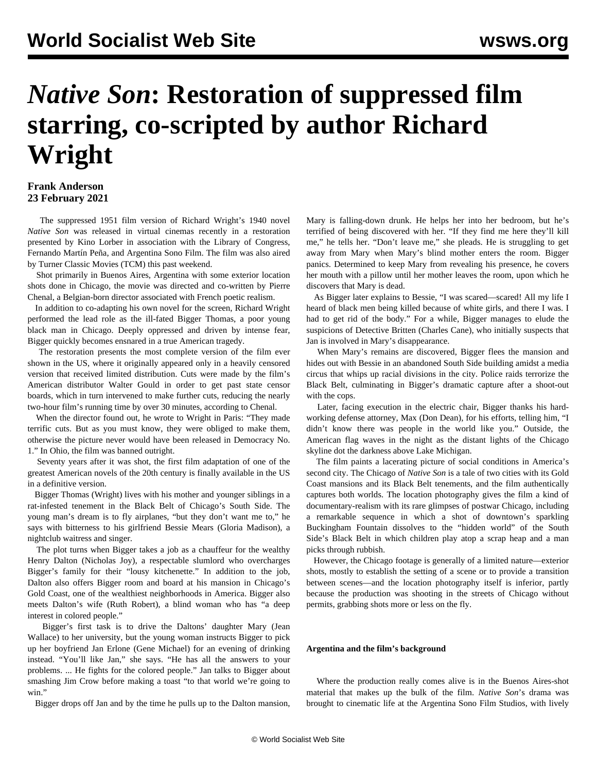## *Native Son***: Restoration of suppressed film starring, co-scripted by author Richard Wright**

## **Frank Anderson 23 February 2021**

 The suppressed 1951 film version of Richard Wright's 1940 novel *Native Son* was released in virtual cinemas recently in a restoration presented by Kino Lorber in association with the Library of Congress, Fernando Martín Peña, and Argentina Sono Film. The film was also aired by Turner Classic Movies (TCM) this past weekend.

 Shot primarily in Buenos Aires, Argentina with some exterior location shots done in Chicago, the movie was directed and co-written by Pierre Chenal, a Belgian-born director associated with French poetic realism.

 In addition to co-adapting his own novel for the screen, Richard Wright performed the lead role as the ill-fated Bigger Thomas, a poor young black man in Chicago. Deeply oppressed and driven by intense fear, Bigger quickly becomes ensnared in a true American tragedy.

 The restoration presents the most complete version of the film ever shown in the US, where it originally appeared only in a heavily censored version that received limited distribution. Cuts were made by the film's American distributor Walter Gould in order to get past state censor boards, which in turn intervened to make further cuts, reducing the nearly two-hour film's running time by over 30 minutes, according to Chenal.

 When the director found out, he wrote to Wright in Paris: "They made terrific cuts. But as you must know, they were obliged to make them, otherwise the picture never would have been released in Democracy No. 1." In Ohio, the film was banned outright.

 Seventy years after it was shot, the first film adaptation of one of the greatest American novels of the 20th century is finally available in the US in a definitive version.

 Bigger Thomas (Wright) lives with his mother and younger siblings in a rat-infested tenement in the Black Belt of Chicago's South Side. The young man's dream is to fly airplanes, "but they don't want me to," he says with bitterness to his girlfriend Bessie Mears (Gloria Madison), a nightclub waitress and singer.

 The plot turns when Bigger takes a job as a chauffeur for the wealthy Henry Dalton (Nicholas Joy), a respectable slumlord who overcharges Bigger's family for their "lousy kitchenette." In addition to the job, Dalton also offers Bigger room and board at his mansion in Chicago's Gold Coast, one of the wealthiest neighborhoods in America. Bigger also meets Dalton's wife (Ruth Robert), a blind woman who has "a deep interest in colored people."

 Bigger's first task is to drive the Daltons' daughter Mary (Jean Wallace) to her university, but the young woman instructs Bigger to pick up her boyfriend Jan Erlone (Gene Michael) for an evening of drinking instead. "You'll like Jan," she says. "He has all the answers to your problems. ... He fights for the colored people." Jan talks to Bigger about smashing Jim Crow before making a toast "to that world we're going to win."

Bigger drops off Jan and by the time he pulls up to the Dalton mansion,

Mary is falling-down drunk. He helps her into her bedroom, but he's terrified of being discovered with her. "If they find me here they'll kill me," he tells her. "Don't leave me," she pleads. He is struggling to get away from Mary when Mary's blind mother enters the room. Bigger panics. Determined to keep Mary from revealing his presence, he covers her mouth with a pillow until her mother leaves the room, upon which he discovers that Mary is dead.

 As Bigger later explains to Bessie, "I was scared—scared! All my life I heard of black men being killed because of white girls, and there I was. I had to get rid of the body." For a while, Bigger manages to elude the suspicions of Detective Britten (Charles Cane), who initially suspects that Jan is involved in Mary's disappearance.

 When Mary's remains are discovered, Bigger flees the mansion and hides out with Bessie in an abandoned South Side building amidst a media circus that whips up racial divisions in the city. Police raids terrorize the Black Belt, culminating in Bigger's dramatic capture after a shoot-out with the cops.

 Later, facing execution in the electric chair, Bigger thanks his hardworking defense attorney, Max (Don Dean), for his efforts, telling him, "I didn't know there was people in the world like you." Outside, the American flag waves in the night as the distant lights of the Chicago skyline dot the darkness above Lake Michigan.

 The film paints a lacerating picture of social conditions in America's second city. The Chicago of *Native Son* is a tale of two cities with its Gold Coast mansions and its Black Belt tenements, and the film authentically captures both worlds. The location photography gives the film a kind of documentary-realism with its rare glimpses of postwar Chicago, including a remarkable sequence in which a shot of downtown's sparkling Buckingham Fountain dissolves to the "hidden world" of the South Side's Black Belt in which children play atop a scrap heap and a man picks through rubbish.

 However, the Chicago footage is generally of a limited nature—exterior shots, mostly to establish the setting of a scene or to provide a transition between scenes—and the location photography itself is inferior, partly because the production was shooting in the streets of Chicago without permits, grabbing shots more or less on the fly.

## **Argentina and the film's background**

 Where the production really comes alive is in the Buenos Aires-shot material that makes up the bulk of the film. *Native Son*'s drama was brought to cinematic life at the Argentina Sono Film Studios, with lively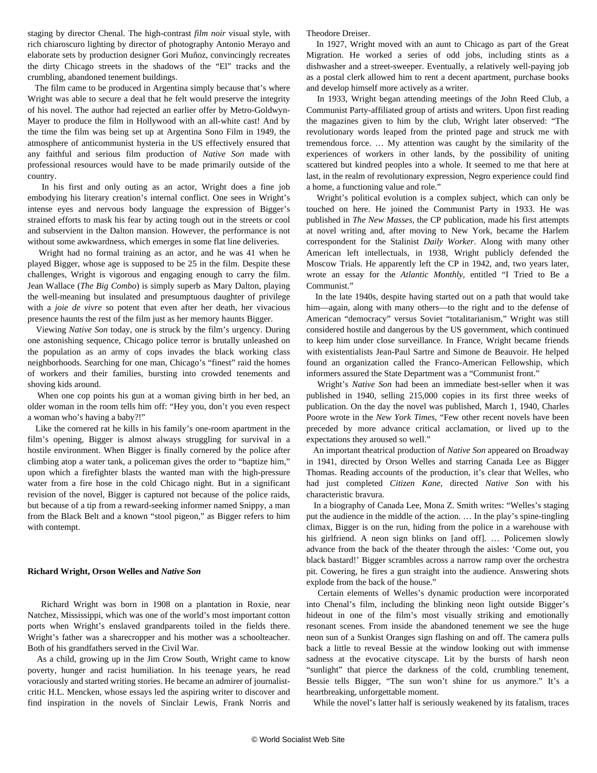staging by director Chenal. The high-contrast *film noir* visual style, with rich chiaroscuro lighting by director of photography Antonio Merayo and elaborate sets by production designer Gori Muñoz, convincingly recreates the dirty Chicago streets in the shadows of the "El" tracks and the crumbling, abandoned tenement buildings.

 The film came to be produced in Argentina simply because that's where Wright was able to secure a deal that he felt would preserve the integrity of his novel. The author had rejected an earlier offer by Metro-Goldwyn-Mayer to produce the film in Hollywood with an all-white cast! And by the time the film was being set up at Argentina Sono Film in 1949, the atmosphere of anticommunist hysteria in the US effectively ensured that any faithful and serious film production of *Native Son* made with professional resources would have to be made primarily outside of the country.

 In his first and only outing as an actor, Wright does a fine job embodying his literary creation's internal conflict. One sees in Wright's intense eyes and nervous body language the expression of Bigger's strained efforts to mask his fear by acting tough out in the streets or cool and subservient in the Dalton mansion. However, the performance is not without some awkwardness, which emerges in some flat line deliveries.

 Wright had no formal training as an actor, and he was 41 when he played Bigger, whose age is supposed to be 25 in the film. Despite these challenges, Wright is vigorous and engaging enough to carry the film. Jean Wallace (*The Big Combo*) is simply superb as Mary Dalton, playing the well-meaning but insulated and presumptuous daughter of privilege with a *joie de vivre* so potent that even after her death, her vivacious presence haunts the rest of the film just as her memory haunts Bigger.

 Viewing *Native Son* today, one is struck by the film's urgency. During one astonishing sequence, Chicago police terror is brutally unleashed on the population as an army of cops invades the black working class neighborhoods. Searching for one man, Chicago's "finest" raid the homes of workers and their families, bursting into crowded tenements and shoving kids around.

 When one cop points his gun at a woman giving birth in her bed, an older woman in the room tells him off: "Hey you, don't you even respect a woman who's having a baby?!"

 Like the cornered rat he kills in his family's one-room apartment in the film's opening, Bigger is almost always struggling for survival in a hostile environment. When Bigger is finally cornered by the police after climbing atop a water tank, a policeman gives the order to "baptize him," upon which a firefighter blasts the wanted man with the high-pressure water from a fire hose in the cold Chicago night. But in a significant revision of the novel, Bigger is captured not because of the police raids, but because of a tip from a reward-seeking informer named Snippy, a man from the Black Belt and a known "stool pigeon," as Bigger refers to him with contempt.

## **Richard Wright, Orson Welles and** *Native Son*

 Richard Wright was born in 1908 on a plantation in Roxie, near Natchez, Mississippi, which was one of the world's most important cotton ports when Wright's enslaved grandparents toiled in the fields there. Wright's father was a sharecropper and his mother was a schoolteacher. Both of his grandfathers served in the Civil War.

 As a child, growing up in the Jim Crow South, Wright came to know poverty, hunger and racist humiliation. In his teenage years, he read voraciously and started writing stories. He became an admirer of journalistcritic H.L. Mencken, whose essays led the aspiring writer to discover and find inspiration in the novels of Sinclair Lewis, Frank Norris and Theodore Dreiser.

 In 1927, Wright moved with an aunt to Chicago as part of the Great Migration. He worked a series of odd jobs, including stints as a dishwasher and a street-sweeper. Eventually, a relatively well-paying job as a postal clerk allowed him to rent a decent apartment, purchase books and develop himself more actively as a writer.

 In 1933, Wright began attending meetings of the John Reed Club, a Communist Party-affiliated group of artists and writers. Upon first reading the magazines given to him by the club, Wright later observed: "The revolutionary words leaped from the printed page and struck me with tremendous force. … My attention was caught by the similarity of the experiences of workers in other lands, by the possibility of uniting scattered but kindred peoples into a whole. It seemed to me that here at last, in the realm of revolutionary expression, Negro experience could find a home, a functioning value and role."

 Wright's political evolution is a complex subject, which can only be touched on here. He joined the Communist Party in 1933. He was published in *The New Masses*, the CP publication, made his first attempts at novel writing and, after moving to New York, became the Harlem correspondent for the Stalinist *Daily Worker*. Along with many other American left intellectuals, in 1938, Wright publicly defended the Moscow Trials. He apparently left the CP in 1942, and, two years later, wrote an essay for the *Atlantic Monthly*, entitled "I Tried to Be a Communist."

 In the late 1940s, despite having started out on a path that would take him—again, along with many others—to the right and to the defense of American "democracy" versus Soviet "totalitarianism," Wright was still considered hostile and dangerous by the US government, which continued to keep him under close surveillance. In France, Wright became friends with existentialists Jean-Paul Sartre and Simone de Beauvoir. He helped found an organization called the Franco-American Fellowship, which informers assured the State Department was a "Communist front."

 Wright's *Native Son* had been an immediate best-seller when it was published in 1940, selling 215,000 copies in its first three weeks of publication. On the day the novel was published, March 1, 1940, Charles Poore wrote in the *New York Times*, "Few other recent novels have been preceded by more advance critical acclamation, or lived up to the expectations they aroused so well."

 An important theatrical production of *Native Son* appeared on Broadway in 1941, directed by Orson Welles and starring Canada Lee as Bigger Thomas. Reading accounts of the production, it's clear that Welles, who had just completed *Citizen Kane*, directed *Native Son* with his characteristic bravura.

 In a biography of Canada Lee, Mona Z. Smith writes: "Welles's staging put the audience in the middle of the action. … In the play's spine-tingling climax, Bigger is on the run, hiding from the police in a warehouse with his girlfriend. A neon sign blinks on [and off]. … Policemen slowly advance from the back of the theater through the aisles: 'Come out, you black bastard!' Bigger scrambles across a narrow ramp over the orchestra pit. Cowering, he fires a gun straight into the audience. Answering shots explode from the back of the house."

 Certain elements of Welles's dynamic production were incorporated into Chenal's film, including the blinking neon light outside Bigger's hideout in one of the film's most visually striking and emotionally resonant scenes. From inside the abandoned tenement we see the huge neon sun of a Sunkist Oranges sign flashing on and off. The camera pulls back a little to reveal Bessie at the window looking out with immense sadness at the evocative cityscape. Lit by the bursts of harsh neon "sunlight" that pierce the darkness of the cold, crumbling tenement, Bessie tells Bigger, "The sun won't shine for us anymore." It's a heartbreaking, unforgettable moment.

While the novel's latter half is seriously weakened by its fatalism, traces